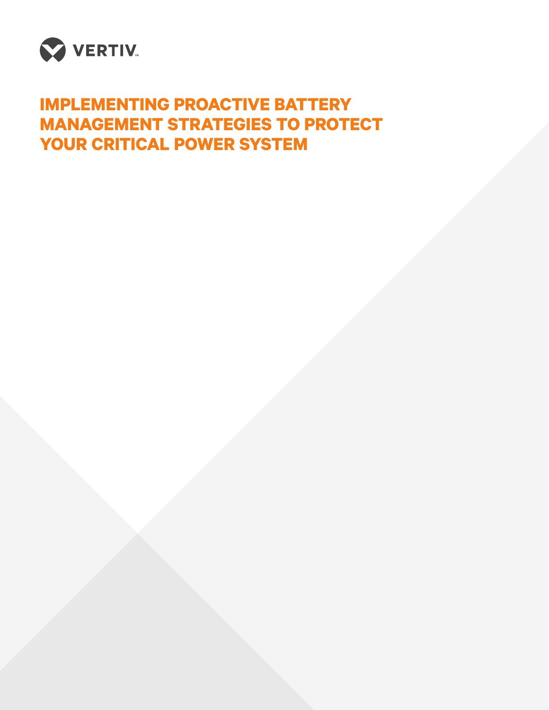

# **IMPLEMENTING PROACTIVE BATTERY MANAGEMENT STRATEGIES TO PROTECT YOUR CRITICAL POWER SYSTEM**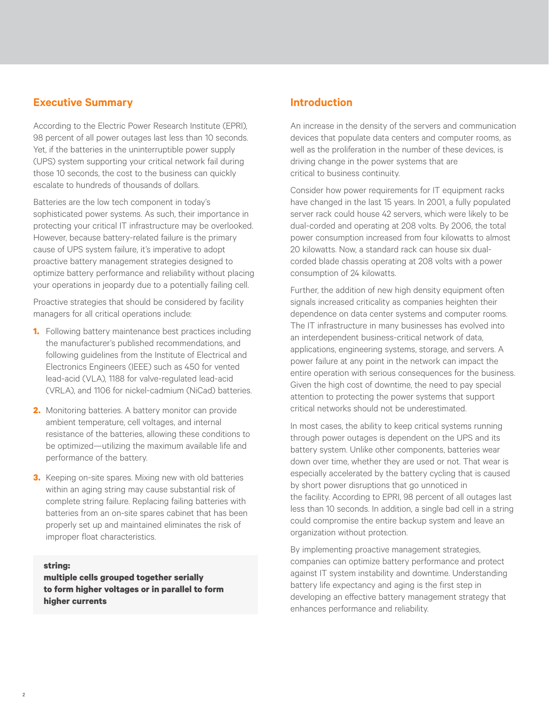# **Executive Summary**

According to the Electric Power Research Institute (EPRI), 98 percent of all power outages last less than 10 seconds. Yet, if the batteries in the uninterruptible power supply (UPS) system supporting your critical network fail during those 10 seconds, the cost to the business can quickly escalate to hundreds of thousands of dollars.

Batteries are the low tech component in today's sophisticated power systems. As such, their importance in protecting your critical IT infrastructure may be overlooked. However, because battery-related failure is the primary cause of UPS system failure, it's imperative to adopt proactive battery management strategies designed to optimize battery performance and reliability without placing your operations in jeopardy due to a potentially failing cell.

Proactive strategies that should be considered by facility managers for all critical operations include:

- **1.** Following battery maintenance best practices including the manufacturer's published recommendations, and following guidelines from the Institute of Electrical and Electronics Engineers (IEEE) such as 450 for vented lead-acid (VLA), 1188 for valve-regulated lead-acid (VRLA), and 1106 for nickel-cadmium (NiCad) batteries.
- **2.** Monitoring batteries. A battery monitor can provide ambient temperature, cell voltages, and internal resistance of the batteries, allowing these conditions to be optimized—utilizing the maximum available life and performance of the battery.
- **3.** Keeping on-site spares. Mixing new with old batteries within an aging string may cause substantial risk of complete string failure. Replacing failing batteries with batteries from an on-site spares cabinet that has been properly set up and maintained eliminates the risk of improper float characteristics.

#### **string:**

**multiple cells grouped together serially to form higher voltages or in parallel to form higher currents** 

## **Introduction**

An increase in the density of the servers and communication devices that populate data centers and computer rooms, as well as the proliferation in the number of these devices, is driving change in the power systems that are critical to business continuity.

Consider how power requirements for IT equipment racks have changed in the last 15 years. In 2001, a fully populated server rack could house 42 servers, which were likely to be dual-corded and operating at 208 volts. By 2006, the total power consumption increased from four kilowatts to almost 20 kilowatts. Now, a standard rack can house six dualcorded blade chassis operating at 208 volts with a power consumption of 24 kilowatts.

Further, the addition of new high density equipment often signals increased criticality as companies heighten their dependence on data center systems and computer rooms. The IT infrastructure in many businesses has evolved into an interdependent business-critical network of data, applications, engineering systems, storage, and servers. A power failure at any point in the network can impact the entire operation with serious consequences for the business. Given the high cost of downtime, the need to pay special attention to protecting the power systems that support critical networks should not be underestimated.

In most cases, the ability to keep critical systems running through power outages is dependent on the UPS and its battery system. Unlike other components, batteries wear down over time, whether they are used or not. That wear is especially accelerated by the battery cycling that is caused by short power disruptions that go unnoticed in the facility. According to EPRI, 98 percent of all outages last less than 10 seconds. In addition, a single bad cell in a string could compromise the entire backup system and leave an organization without protection.

By implementing proactive management strategies, companies can optimize battery performance and protect against IT system instability and downtime. Understanding battery life expectancy and aging is the first step in developing an effective battery management strategy that enhances performance and reliability.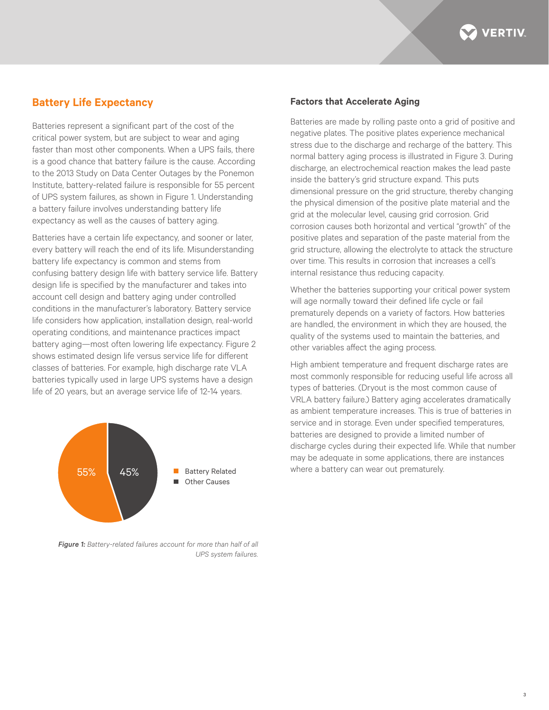

## **Battery Life Expectancy**

Batteries represent a significant part of the cost of the critical power system, but are subject to wear and aging faster than most other components. When a UPS fails, there is a good chance that battery failure is the cause. According to the 2013 Study on Data Center Outages by the Ponemon Institute, battery-related failure is responsible for 55 percent of UPS system failures, as shown in Figure 1. Understanding a battery failure involves understanding battery life expectancy as well as the causes of battery aging.

Batteries have a certain life expectancy, and sooner or later, every battery will reach the end of its life. Misunderstanding battery life expectancy is common and stems from confusing battery design life with battery service life. Battery design life is specified by the manufacturer and takes into account cell design and battery aging under controlled conditions in the manufacturer's laboratory. Battery service life considers how application, installation design, real-world operating conditions, and maintenance practices impact battery aging—most often lowering life expectancy. Figure 2 shows estimated design life versus service life for different classes of batteries. For example, high discharge rate VLA batteries typically used in large UPS systems have a design life of 20 years, but an average service life of 12-14 years.



*Figure 1: Battery-related failures account for more than half of all UPS system failures.*

#### **Factors that Accelerate Aging**

Batteries are made by rolling paste onto a grid of positive and negative plates. The positive plates experience mechanical stress due to the discharge and recharge of the battery. This normal battery aging process is illustrated in Figure 3. During discharge, an electrochemical reaction makes the lead paste inside the battery's grid structure expand. This puts dimensional pressure on the grid structure, thereby changing the physical dimension of the positive plate material and the grid at the molecular level, causing grid corrosion. Grid corrosion causes both horizontal and vertical "growth" of the positive plates and separation of the paste material from the grid structure, allowing the electrolyte to attack the structure over time. This results in corrosion that increases a cell's internal resistance thus reducing capacity.

Whether the batteries supporting your critical power system will age normally toward their defined life cycle or fail prematurely depends on a variety of factors. How batteries are handled, the environment in which they are housed, the quality of the systems used to maintain the batteries, and other variables affect the aging process.

High ambient temperature and frequent discharge rates are most commonly responsible for reducing useful life across all types of batteries. (Dryout is the most common cause of VRLA battery failure.) Battery aging accelerates dramatically as ambient temperature increases. This is true of batteries in service and in storage. Even under specified temperatures, batteries are designed to provide a limited number of discharge cycles during their expected life. While that number may be adequate in some applications, there are instances where a battery can wear out prematurely.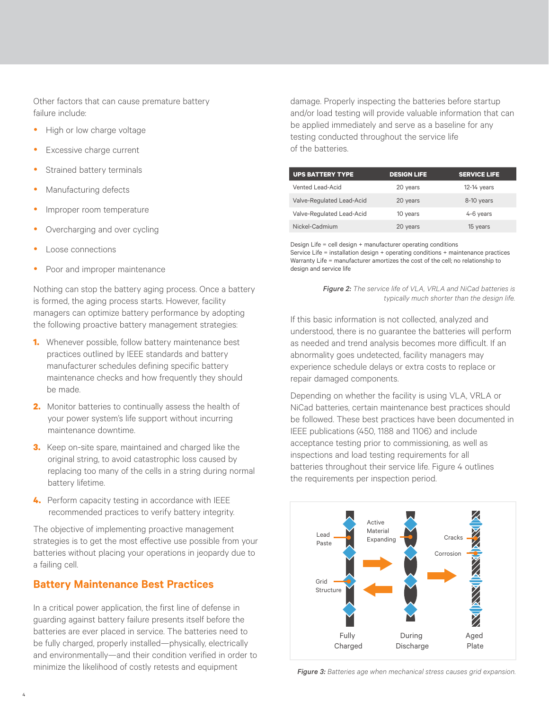Other factors that can cause premature battery failure include:

- High or low charge voltage
- Excessive charge current
- Strained battery terminals
- Manufacturing defects
- Improper room temperature
- Overcharging and over cycling
- Loose connections
- Poor and improper maintenance

Nothing can stop the battery aging process. Once a battery is formed, the aging process starts. However, facility managers can optimize battery performance by adopting the following proactive battery management strategies:

- **1.** Whenever possible, follow battery maintenance best practices outlined by IEEE standards and battery manufacturer schedules defining specific battery maintenance checks and how frequently they should be made.
- **2.** Monitor batteries to continually assess the health of your power system's life support without incurring maintenance downtime.
- **3.** Keep on-site spare, maintained and charged like the original string, to avoid catastrophic loss caused by replacing too many of the cells in a string during normal battery lifetime.
- **4.** Perform capacity testing in accordance with IEEE recommended practices to verify battery integrity.

The objective of implementing proactive management strategies is to get the most effective use possible from your batteries without placing your operations in jeopardy due to a failing cell.

# **Battery Maintenance Best Practices**

In a critical power application, the first line of defense in guarding against battery failure presents itself before the batteries are ever placed in service. The batteries need to be fully charged, properly installed—physically, electrically and environmentally—and their condition verified in order to minimize the likelihood of costly retests and equipment *Figure 3: Batteries age when mechanical stress causes grid expansion.*

damage. Properly inspecting the batteries before startup and/or load testing will provide valuable information that can be applied immediately and serve as a baseline for any testing conducted throughout the service life of the batteries.

| <b>UPS BATTERY TYPE</b>   | <b>DESIGN LIFE</b> | <b>SERVICE LIFE</b> |
|---------------------------|--------------------|---------------------|
| Vented Lead-Acid          | 20 years           | 12-14 years         |
| Valve-Regulated Lead-Acid | 20 years           | 8-10 years          |
| Valve-Regulated Lead-Acid | 10 years           | 4-6 years           |
| Nickel-Cadmium            | 20 years           | 15 years            |

Design Life = cell design + manufacturer operating conditions Service Life = installation design + operating conditions + maintenance practices Warranty Life = manufacturer amortizes the cost of the cell; no relationship to design and service life

> *Figure 2: The service life of VLA, VRLA and NiCad batteries is typically much shorter than the design life.*

If this basic information is not collected, analyzed and understood, there is no guarantee the batteries will perform as needed and trend analysis becomes more difficult. If an abnormality goes undetected, facility managers may experience schedule delays or extra costs to replace or repair damaged components.

Depending on whether the facility is using VLA, VRLA or NiCad batteries, certain maintenance best practices should be followed. These best practices have been documented in IEEE publications (450, 1188 and 1106) and include acceptance testing prior to commissioning, as well as inspections and load testing requirements for all batteries throughout their service life. Figure 4 outlines the requirements per inspection period.

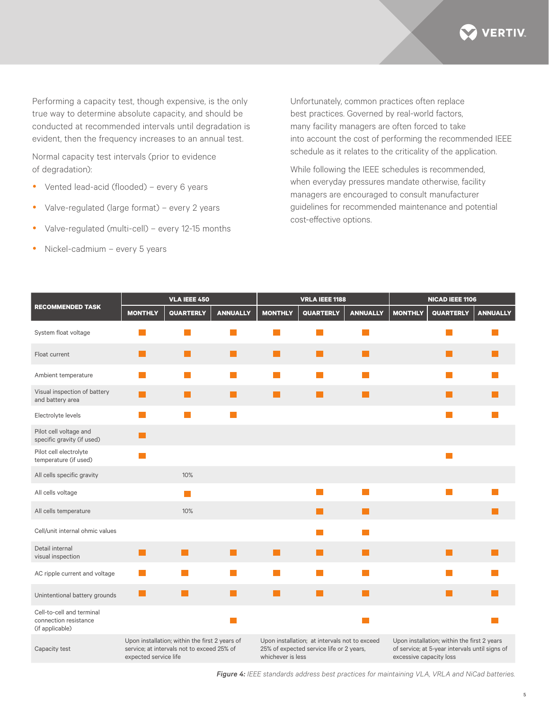

Performing a capacity test, though expensive, is the only true way to determine absolute capacity, and should be conducted at recommended intervals until degradation is evident, then the frequency increases to an annual test.

Normal capacity test intervals (prior to evidence of degradation):

- Vented lead-acid (flooded) every 6 years
- Valve-regulated (large format) every 2 years
- Valve-regulated (multi-cell) every 12-15 months
- Nickel-cadmium every 5 years

Unfortunately, common practices often replace best practices. Governed by real-world factors, many facility managers are often forced to take into account the cost of performing the recommended IEEE schedule as it relates to the criticality of the application.

While following the IEEE schedules is recommended, when everyday pressures mandate otherwise, facility managers are encouraged to consult manufacturer guidelines for recommended maintenance and potential cost-effective options.

| <b>RECOMMENDED TASK</b>                                               | <b>VLA IEEE 450</b>                                                                                                   |                                                                                                                |                 | <b>VRLA IEEE 1188</b>                                                                                          |                             |                             | <b>NICAD IEEE 1106</b>                                                                                                   |                        |                        |
|-----------------------------------------------------------------------|-----------------------------------------------------------------------------------------------------------------------|----------------------------------------------------------------------------------------------------------------|-----------------|----------------------------------------------------------------------------------------------------------------|-----------------------------|-----------------------------|--------------------------------------------------------------------------------------------------------------------------|------------------------|------------------------|
|                                                                       | <b>MONTHLY</b>                                                                                                        | <b>QUARTERLY</b>                                                                                               | <b>ANNUALLY</b> | <b>MONTHLY</b>                                                                                                 | <b>QUARTERLY</b>            | <b>ANNUALLY</b>             | <b>MONTHLY</b>                                                                                                           | <b>QUARTERLY</b>       | <b>ANNUALLY</b>        |
| System float voltage                                                  |                                                                                                                       |                                                                                                                |                 |                                                                                                                |                             |                             |                                                                                                                          |                        |                        |
| Float current                                                         | <b>Contract</b>                                                                                                       | <b>College</b>                                                                                                 | l.              | L.                                                                                                             | l.                          | L.                          |                                                                                                                          | l.                     |                        |
| Ambient temperature                                                   | m.                                                                                                                    | <b>Service Service</b>                                                                                         | n a             |                                                                                                                | <b>College</b>              | $\mathcal{L}_{\mathcal{A}}$ |                                                                                                                          | <b>Service Service</b> |                        |
| Visual inspection of battery<br>and battery area                      | l II                                                                                                                  | L.                                                                                                             | l I             | L.                                                                                                             | H                           | L.                          |                                                                                                                          | L.                     |                        |
| Electrolyte levels                                                    | <b>Contract</b>                                                                                                       | m.                                                                                                             | n a             |                                                                                                                |                             |                             |                                                                                                                          | <b>Tara</b>            |                        |
| Pilot cell voltage and<br>specific gravity (if used)                  | <b>Contract</b>                                                                                                       |                                                                                                                |                 |                                                                                                                |                             |                             |                                                                                                                          |                        |                        |
| Pilot cell electrolyte<br>temperature (if used)                       | <b>Service Service</b>                                                                                                |                                                                                                                |                 |                                                                                                                |                             |                             |                                                                                                                          | p.                     |                        |
| All cells specific gravity                                            |                                                                                                                       | 10%                                                                                                            |                 |                                                                                                                |                             |                             |                                                                                                                          |                        |                        |
| All cells voltage                                                     |                                                                                                                       | and the state of the state of the state of the state of the state of the state of the state of the state of th |                 |                                                                                                                | $\mathcal{L}_{\mathcal{A}}$ | $\mathcal{L}_{\mathcal{A}}$ |                                                                                                                          | <b>College</b>         |                        |
| All cells temperature                                                 |                                                                                                                       | 10%                                                                                                            |                 |                                                                                                                | H                           | H                           |                                                                                                                          |                        |                        |
| Cell/unit internal ohmic values                                       |                                                                                                                       |                                                                                                                |                 |                                                                                                                | <b>College</b>              | <b>Tara</b>                 |                                                                                                                          |                        |                        |
| Detail internal<br>visual inspection                                  | <b>Contract</b>                                                                                                       | l a l                                                                                                          | <b>Tara</b>     | l a                                                                                                            | H                           | <b>College</b>              |                                                                                                                          | <b>The Second</b>      | <b>Service Service</b> |
| AC ripple current and voltage                                         | m.                                                                                                                    |                                                                                                                | m.              |                                                                                                                | $\sim$                      |                             |                                                                                                                          |                        |                        |
| Unintentional battery grounds                                         | l al                                                                                                                  |                                                                                                                | l a             | L.                                                                                                             | l a                         | L.                          |                                                                                                                          | <b>College</b>         |                        |
| Cell-to-cell and terminal<br>connection resistance<br>(if applicable) |                                                                                                                       |                                                                                                                |                 |                                                                                                                |                             | $\mathcal{L}_{\mathcal{A}}$ |                                                                                                                          |                        |                        |
| Capacity test                                                         | Upon installation; within the first 2 years of<br>service; at intervals not to exceed 25% of<br>expected service life |                                                                                                                |                 | Upon installation; at intervals not to exceed<br>25% of expected service life or 2 years,<br>whichever is less |                             |                             | Upon installation; within the first 2 years<br>of service; at 5-year intervals until signs of<br>excessive capacity loss |                        |                        |

*Figure 4: IEEE standards address best practices for maintaining VLA, VRLA and NiCad batteries.*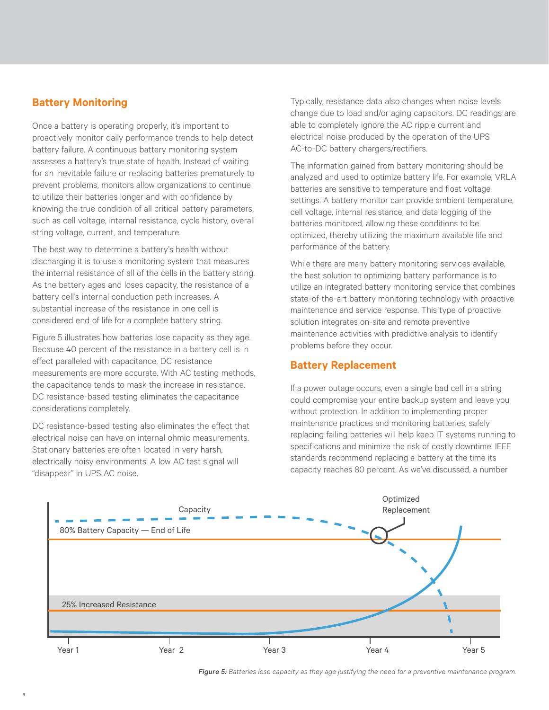# **Battery Monitoring**

Once a battery is operating properly, it's important to proactively monitor daily performance trends to help detect battery failure. A continuous battery monitoring system assesses a battery's true state of health. Instead of waiting for an inevitable failure or replacing batteries prematurely to prevent problems, monitors allow organizations to continue to utilize their batteries longer and with confidence by knowing the true condition of all critical battery parameters, such as cell voltage, internal resistance, cycle history, overall string voltage, current, and temperature.

The best way to determine a battery's health without discharging it is to use a monitoring system that measures the internal resistance of all of the cells in the battery string. As the battery ages and loses capacity, the resistance of a battery cell's internal conduction path increases. A substantial increase of the resistance in one cell is considered end of life for a complete battery string.

Figure 5 illustrates how batteries lose capacity as they age. Because 40 percent of the resistance in a battery cell is in effect paralleled with capacitance, DC resistance measurements are more accurate. With AC testing methods, the capacitance tends to mask the increase in resistance. DC resistance-based testing eliminates the capacitance considerations completely.

DC resistance-based testing also eliminates the effect that electrical noise can have on internal ohmic measurements. Stationary batteries are often located in very harsh, electrically noisy environments. A low AC test signal will "disappear" in UPS AC noise.

Typically, resistance data also changes when noise levels change due to load and/or aging capacitors. DC readings are able to completely ignore the AC ripple current and electrical noise produced by the operation of the UPS AC-to-DC battery chargers/rectifiers.

The information gained from battery monitoring should be analyzed and used to optimize battery life. For example, VRLA batteries are sensitive to temperature and float voltage settings. A battery monitor can provide ambient temperature, cell voltage, internal resistance, and data logging of the batteries monitored, allowing these conditions to be optimized, thereby utilizing the maximum available life and performance of the battery.

While there are many battery monitoring services available, the best solution to optimizing battery performance is to utilize an integrated battery monitoring service that combines state-of-the-art battery monitoring technology with proactive maintenance and service response. This type of proactive solution integrates on-site and remote preventive maintenance activities with predictive analysis to identify problems before they occur.

# **Battery Replacement**

If a power outage occurs, even a single bad cell in a string could compromise your entire backup system and leave you without protection. In addition to implementing proper maintenance practices and monitoring batteries, safely replacing failing batteries will help keep IT systems running to specifications and minimize the risk of costly downtime. IEEE standards recommend replacing a battery at the time its capacity reaches 80 percent. As we've discussed, a number



*Figure 5: Batteries lose capacity as they age justifying the need for a preventive maintenance program.*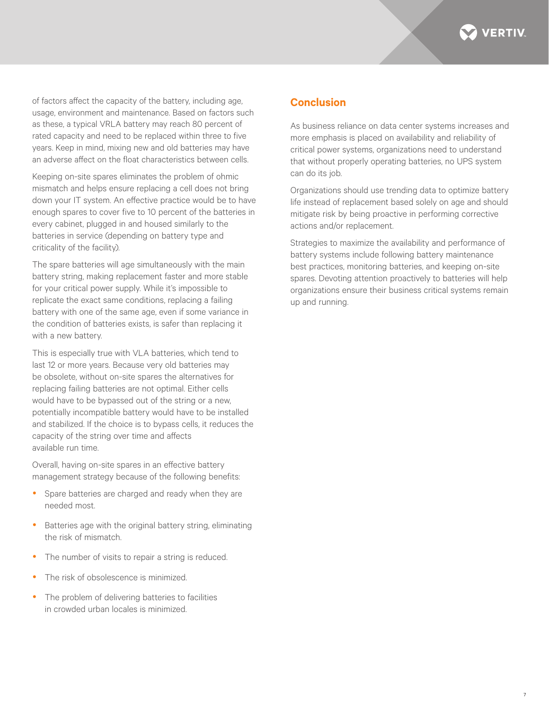

of factors affect the capacity of the battery, including age, usage, environment and maintenance. Based on factors such as these, a typical VRLA battery may reach 80 percent of rated capacity and need to be replaced within three to five years. Keep in mind, mixing new and old batteries may have an adverse affect on the float characteristics between cells.

Keeping on-site spares eliminates the problem of ohmic mismatch and helps ensure replacing a cell does not bring down your IT system. An effective practice would be to have enough spares to cover five to 10 percent of the batteries in every cabinet, plugged in and housed similarly to the batteries in service (depending on battery type and criticality of the facility).

The spare batteries will age simultaneously with the main battery string, making replacement faster and more stable for your critical power supply. While it's impossible to replicate the exact same conditions, replacing a failing battery with one of the same age, even if some variance in the condition of batteries exists, is safer than replacing it with a new battery.

This is especially true with VLA batteries, which tend to last 12 or more years. Because very old batteries may be obsolete, without on-site spares the alternatives for replacing failing batteries are not optimal. Either cells would have to be bypassed out of the string or a new, potentially incompatible battery would have to be installed and stabilized. If the choice is to bypass cells, it reduces the capacity of the string over time and affects available run time.

Overall, having on-site spares in an effective battery management strategy because of the following benefits:

- Spare batteries are charged and ready when they are needed most.
- Batteries age with the original battery string, eliminating the risk of mismatch.
- The number of visits to repair a string is reduced.
- The risk of obsolescence is minimized.
- The problem of delivering batteries to facilities in crowded urban locales is minimized.

# **Conclusion**

As business reliance on data center systems increases and more emphasis is placed on availability and reliability of critical power systems, organizations need to understand that without properly operating batteries, no UPS system can do its job.

Organizations should use trending data to optimize battery life instead of replacement based solely on age and should mitigate risk by being proactive in performing corrective actions and/or replacement.

Strategies to maximize the availability and performance of battery systems include following battery maintenance best practices, monitoring batteries, and keeping on-site spares. Devoting attention proactively to batteries will help organizations ensure their business critical systems remain up and running.